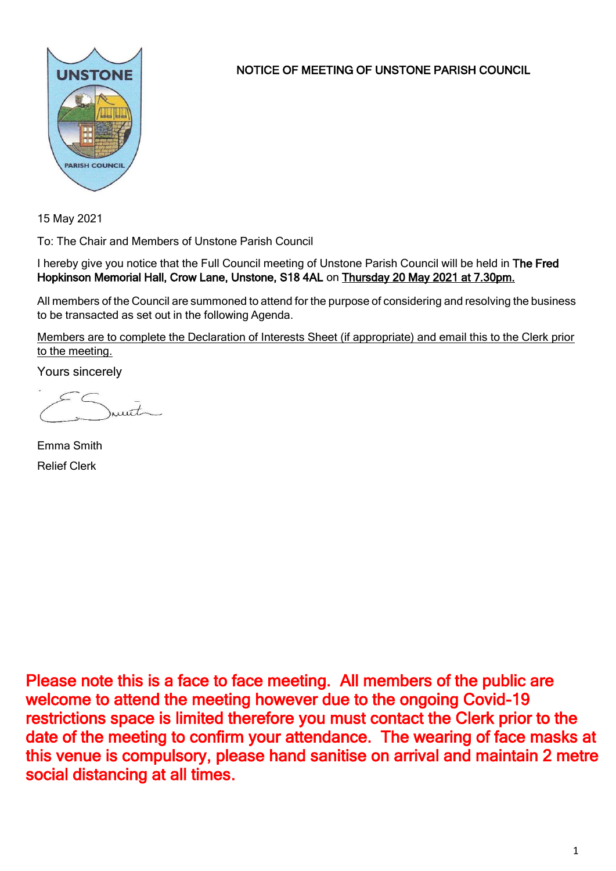

NOTICE OF MEETING OF UNSTONE PARISH COUNCIL

15 May 2021

To: The Chair and Members of Unstone Parish Council

I hereby give you notice that the Full Council meeting of Unstone Parish Council will be held in The Fred Hopkinson Memorial Hall, Crow Lane, Unstone, S18 4AL on Thursday 20 May 2021 at 7.30pm.

All members of the Council are summoned to attend for the purpose of considering and resolving the business to be transacted as set out in the following Agenda.

Members are to complete the Declaration of Interests Sheet (if appropriate) and email this to the Clerk prior to the meeting.

Yours sincerely

munt

Emma Smith Relief Clerk

Please note this is a face to face meeting. All members of the public are welcome to attend the meeting however due to the ongoing Covid-19 restrictions space is limited therefore you must contact the Clerk prior to the date of the meeting to confirm your attendance. The wearing of face masks at this venue is compulsory, please hand sanitise on arrival and maintain 2 metre social distancing at all times.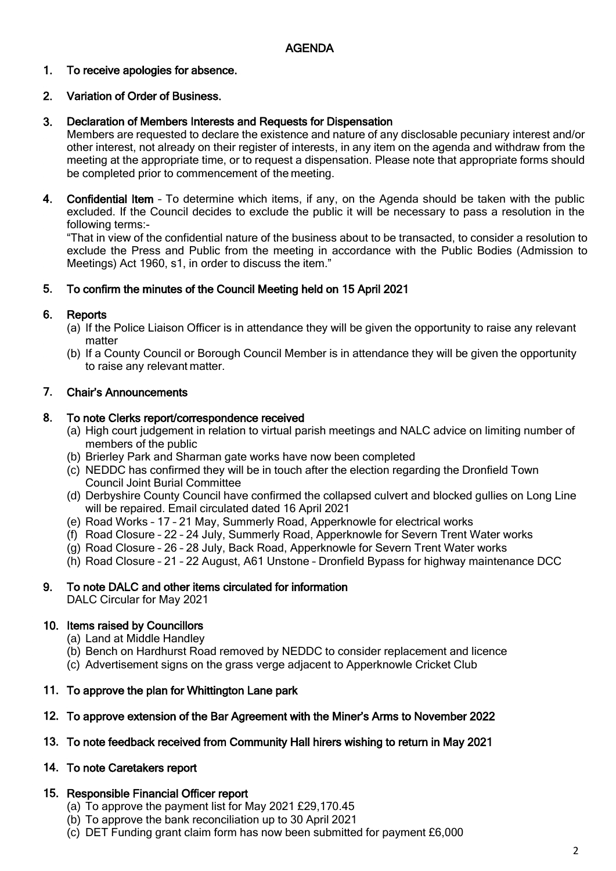### 1. To receive apologies for absence.

### 2. Variation of Order of Business.

### 3. Declaration of Members Interests and Requests for Dispensation

Members are requested to declare the existence and nature of any disclosable pecuniary interest and/or other interest, not already on their register of interests, in any item on the agenda and withdraw from the meeting at the appropriate time, or to request a dispensation. Please note that appropriate forms should be completed prior to commencement of the meeting.

4. Confidential Item – To determine which items, if any, on the Agenda should be taken with the public excluded. If the Council decides to exclude the public it will be necessary to pass a resolution in the following terms:-

"That in view of the confidential nature of the business about to be transacted, to consider a resolution to exclude the Press and Public from the meeting in accordance with the Public Bodies (Admission to Meetings) Act 1960, s1, in order to discuss the item."

### 5. To confirm the minutes of the Council Meeting held on 15 April 2021

### 6. **Reports**

- (a) If the Police Liaison Officer is in attendance they will be given the opportunity to raise any relevant matter
- (b) If a County Council or Borough Council Member is in attendance they will be given the opportunity to raise any relevant matter.

### 7. Chair's Announcements

#### 8. To note Clerks report/correspondence received

- (a) High court judgement in relation to virtual parish meetings and NALC advice on limiting number of members of the public
- (b) Brierley Park and Sharman gate works have now been completed
- (c) NEDDC has confirmed they will be in touch after the election regarding the Dronfield Town Council Joint Burial Committee
- (d) Derbyshire County Council have confirmed the collapsed culvert and blocked gullies on Long Line will be repaired. Email circulated dated 16 April 2021
- (e) Road Works 17 21 May, Summerly Road, Apperknowle for electrical works
- (f) Road Closure 22 24 July, Summerly Road, Apperknowle for Severn Trent Water works
- (g) Road Closure 26 28 July, Back Road, Apperknowle for Severn Trent Water works
- (h) Road Closure 21 22 August, A61 Unstone Dronfield Bypass for highway maintenance DCC

### 9. To note DALC and other items circulated for information

DALC Circular for May 2021

## 10. Items raised by Councillors

- (a) Land at Middle Handley
- (b) Bench on Hardhurst Road removed by NEDDC to consider replacement and licence
- (c) Advertisement signs on the grass verge adjacent to Apperknowle Cricket Club

## 11. To approve the plan for Whittington Lane park

## 12. To approve extension of the Bar Agreement with the Miner's Arms to November 2022

## 13. To note feedback received from Community Hall hirers wishing to return in May 2021

## 14. To note Caretakers report

## 15. Responsible Financial Officer report

- (a) To approve the payment list for May 2021 £29,170.45
- (b) To approve the bank reconciliation up to 30 April 2021
- (c) DET Funding grant claim form has now been submitted for payment £6,000